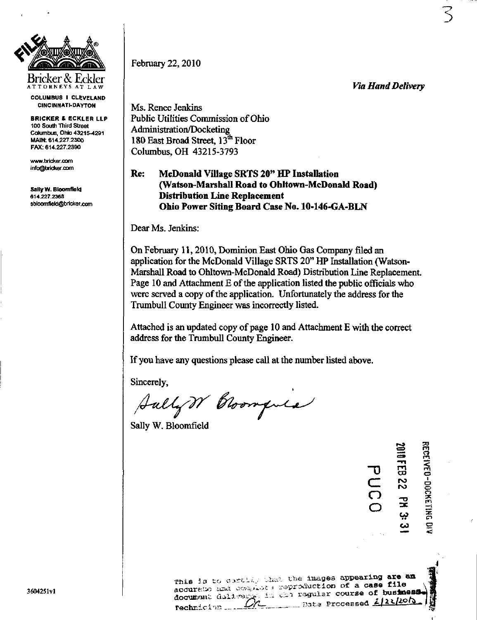

ATTORNEY S AT LA W COLUMBUS I CLEVELAND CINCINNATI-DAYTON

BRICKER & ECKLER LLP 100 South Third Street Columbus, Ohio 43215-4291 MAIN: 614.227.2300 FAX: 614.227.2390

[www.bridcer.com](http://www.bridcer.com) info@bricker.com

Sally W. Bloomfield 614.227.2368 [sbloomfield@bricker.com](mailto:sbloomfield@bricker.com)  Febmary 22,2010

Via Hand Delivery

3

Ms. Renee Jenkins Public Utilities Commission of Ohio Administration/Docketing 180 East Broad Street, 13<sup>th</sup> Floor Columbus, OH 43215-3793

Re: McDonald Village SRTS 20" HP Installation (Watson-Marshall Road to Ohltown-McDonald Road) Distribution Line Replacement Ohio Power Siting Board Case No. 10-146-GA-BLN

Dear Ms. Jenkins:

On February 11,2010, Dominion East Ohio Gas Company filed an application for the McDonald Village SRTS 20" HP Installation (Watson-Marshall Road to Ohltown-McDonald Road) Distribution Line Replacement. Page 10 and Attachment  $E$  of the application listed the public officials who were served a copy of the application. Unfortunately the address for the Trumbull County Engineer was incorrectiy listed.

Attached is an updated copy of page 10 and Attachment E with the correct address for the Trumbull County Engineer.

If you have any questions please call at the number listed above.

Sincerely,

 $\beta$ ully $\gamma\gamma$  Cloompule

Sally W. Bloomfield

|                                        | 2010 FEB | <b>APPRENEUR CORRELLED</b> |
|----------------------------------------|----------|----------------------------|
| უ                                      |          |                            |
| $\subset^-$                            | 22       |                            |
| $\bigcirc$<br>$\overline{\mathcal{O}}$ | 궃        |                            |
|                                        | ڊيا      |                            |
|                                        | نە       | 9                          |

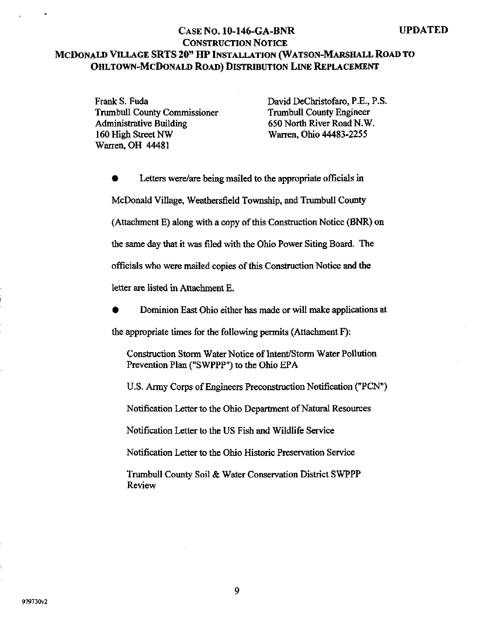## CASE NO. 10-146-GA-BNR UPDATED CONSTRUCTION NOTICE MCDONALD VILLAGE SRTS 20" HP INSTALLATION (WATSON-MARSHALL ROAD TO OHLTOWN-MCDONALD ROAD) DISTRIBUTION LINE REPLACEMENT

Trumbull County Commissioner Trumbull County Engineer Administrative Building 650 North River Road N.W. 160 High Street NW Warren, Ohio 44483-2255 Warren, OH 44481

Frank S. Fuda David DeChristofaro, P.E., P.S.

Letters were/are being mailed to the appropriate officials in McDonald Village, Weathersfield Township, and Trumbull County (Attachment E) along with a copy of this Construction Notice (BNR) on the same day that it was filed with the Ohio Power Siting Board. The officials who were mailed copies of this Constmction Notice and the letter are listed in Attachment E.

• Dominion East Ohio either has made or will make applications at

the appropriate times for the following permits (Attachment F):

Construction Storm Water Notice of Intent/Storm Water Pollution Prevention Plan ("SWPPP") to the Ohio EPA

U.S. Army Corps of Engineers Preconstmction Notification ("PCN")

Notification Letter to the Ohio Department of Natural Resources

Notification Letter to the US Fish and Wildlife Service

Notification Letter to the Ohio Historic Preservation Service

Trumbull County Soil & Water Conservation District SWPPP Review